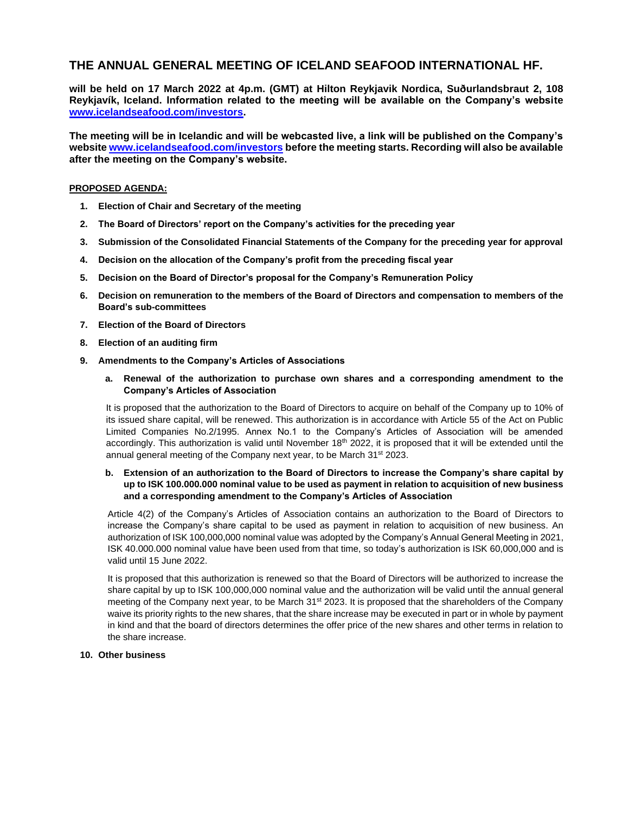# **THE ANNUAL GENERAL MEETING OF ICELAND SEAFOOD INTERNATIONAL HF.**

**will be held on 17 March 2022 at 4p.m. (GMT) at Hilton Reykjavik Nordica, Suðurlandsbraut 2, 108 Reykjavík, Iceland. Information related to the meeting will be available on the Company's website [www.icelandseafood.com/investors.](http://www.icelandseafood.com/investors)** 

**The meeting will be in Icelandic and will be webcasted live, a link will be published on the Company's websit[e www.icelandseafood.com/investors](http://www.icelandseafood.com/investors) before the meeting starts. Recording will also be available after the meeting on the Company's website.** 

### **PROPOSED AGENDA:**

- **1. Election of Chair and Secretary of the meeting**
- **2. The Board of Directors' report on the Company's activities for the preceding year**
- **3. Submission of the Consolidated Financial Statements of the Company for the preceding year for approval**
- **4. Decision on the allocation of the Company's profit from the preceding fiscal year**
- **5. Decision on the Board of Director's proposal for the Company's Remuneration Policy**
- **6. Decision on remuneration to the members of the Board of Directors and compensation to members of the Board's sub-committees**
- **7. Election of the Board of Directors**
- **8. Election of an auditing firm**
- **9. Amendments to the Company's Articles of Associations**
	- **a. Renewal of the authorization to purchase own shares and a corresponding amendment to the Company's Articles of Association**

It is proposed that the authorization to the Board of Directors to acquire on behalf of the Company up to 10% of its issued share capital, will be renewed. This authorization is in accordance with Article 55 of the Act on Public Limited Companies No.2/1995. Annex No.1 to the Company's Articles of Association will be amended accordingly. This authorization is valid until November 18<sup>th</sup> 2022, it is proposed that it will be extended until the annual general meeting of the Company next year, to be March 31<sup>st</sup> 2023.

### **b. Extension of an authorization to the Board of Directors to increase the Company's share capital by up to ISK 100.000.000 nominal value to be used as payment in relation to acquisition of new business and a corresponding amendment to the Company's Articles of Association**

Article 4(2) of the Company's Articles of Association contains an authorization to the Board of Directors to increase the Company's share capital to be used as payment in relation to acquisition of new business. An authorization of ISK 100,000,000 nominal value was adopted by the Company's Annual General Meeting in 2021, ISK 40.000.000 nominal value have been used from that time, so today's authorization is ISK 60,000,000 and is valid until 15 June 2022.

It is proposed that this authorization is renewed so that the Board of Directors will be authorized to increase the share capital by up to ISK 100,000,000 nominal value and the authorization will be valid until the annual general meeting of the Company next year, to be March 31<sup>st</sup> 2023. It is proposed that the shareholders of the Company waive its priority rights to the new shares, that the share increase may be executed in part or in whole by payment in kind and that the board of directors determines the offer price of the new shares and other terms in relation to the share increase.

## **10. Other business**